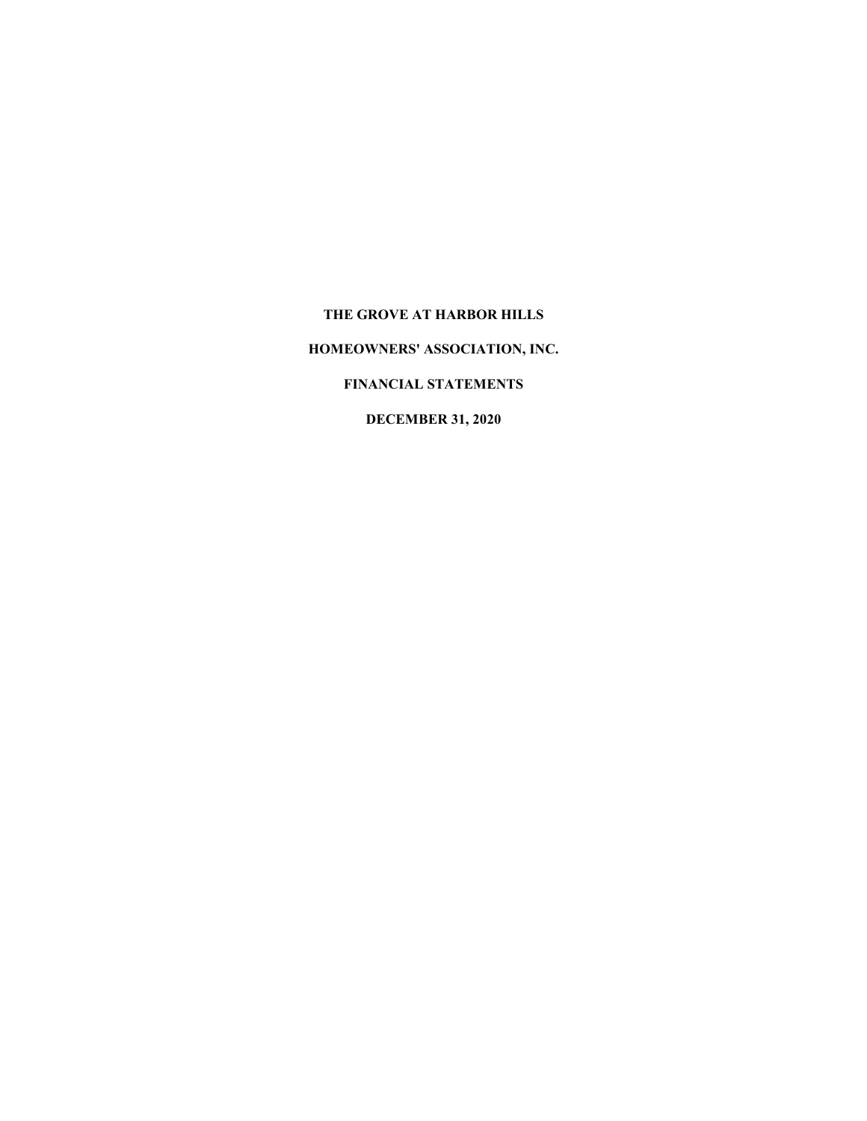#### **THE GROVE AT HARBOR HILLS**

**HOMEOWNERS' ASSOCIATION, INC.**

#### **FINANCIAL STATEMENTS**

### **DECEMBER 31, 2020**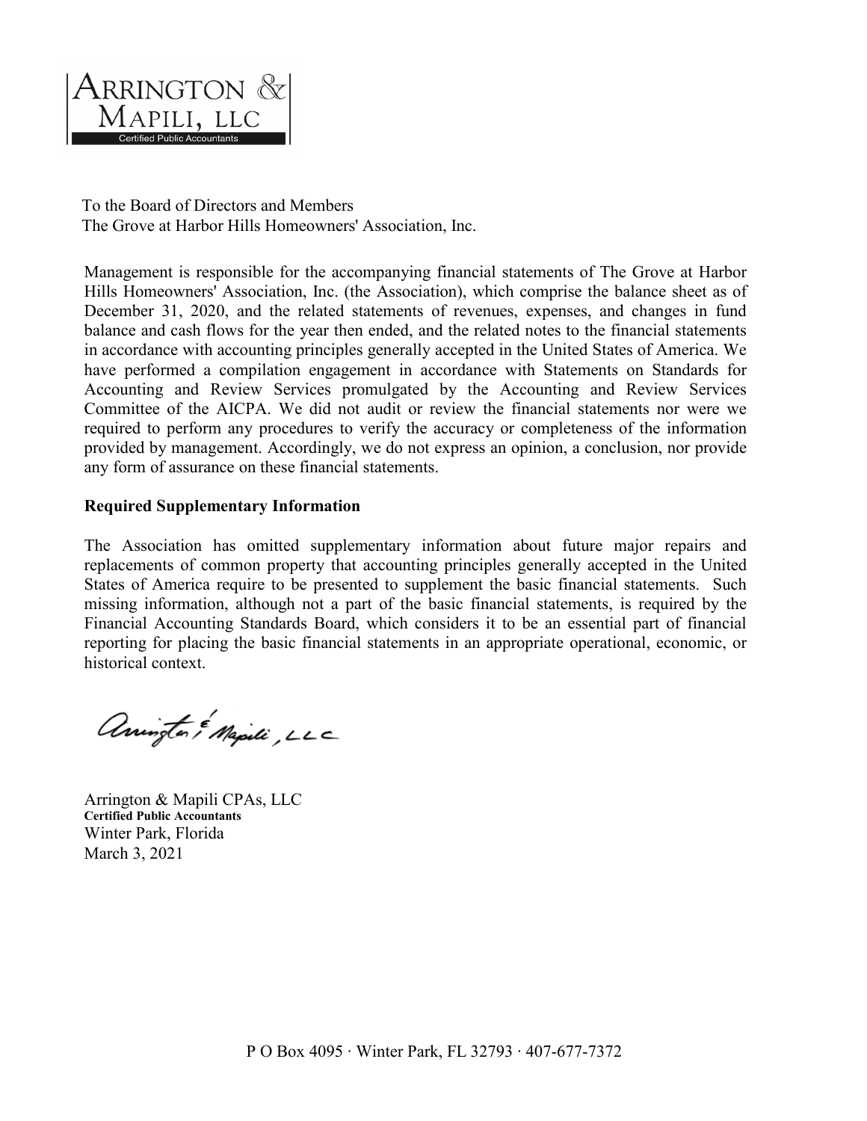

To the Board of Directors and Members The Grove at Harbor Hills Homeowners' Association, Inc.

Management is responsible for the accompanying financial statements of The Grove at Harbor Hills Homeowners' Association, Inc. (the Association), which comprise the balance sheet as of December 31, 2020, and the related statements of revenues, expenses, and changes in fund balance and cash flows for the year then ended, and the related notes to the financial statements in accordance with accounting principles generally accepted in the United States of America. We have performed a compilation engagement in accordance with Statements on Standards for Accounting and Review Services promulgated by the Accounting and Review Services Committee of the AICPA. We did not audit or review the financial statements nor were we required to perform any procedures to verify the accuracy or completeness of the information provided by management. Accordingly, we do not express an opinion, a conclusion, nor provide any form of assurance on these financial statements.

#### **Required Supplementary Information**

The Association has omitted supplementary information about future major repairs and replacements of common property that accounting principles generally accepted in the United States of America require to be presented to supplement the basic financial statements. Such missing information, although not a part of the basic financial statements, is required by the Financial Accounting Standards Board, which considers it to be an essential part of financial reporting for placing the basic financial statements in an appropriate operational, economic, or historical context.

anington & Mapili, LLC

Arrington & Mapili CPAs, LLC **Certified Public Accountants** Winter Park, Florida March 3, 2021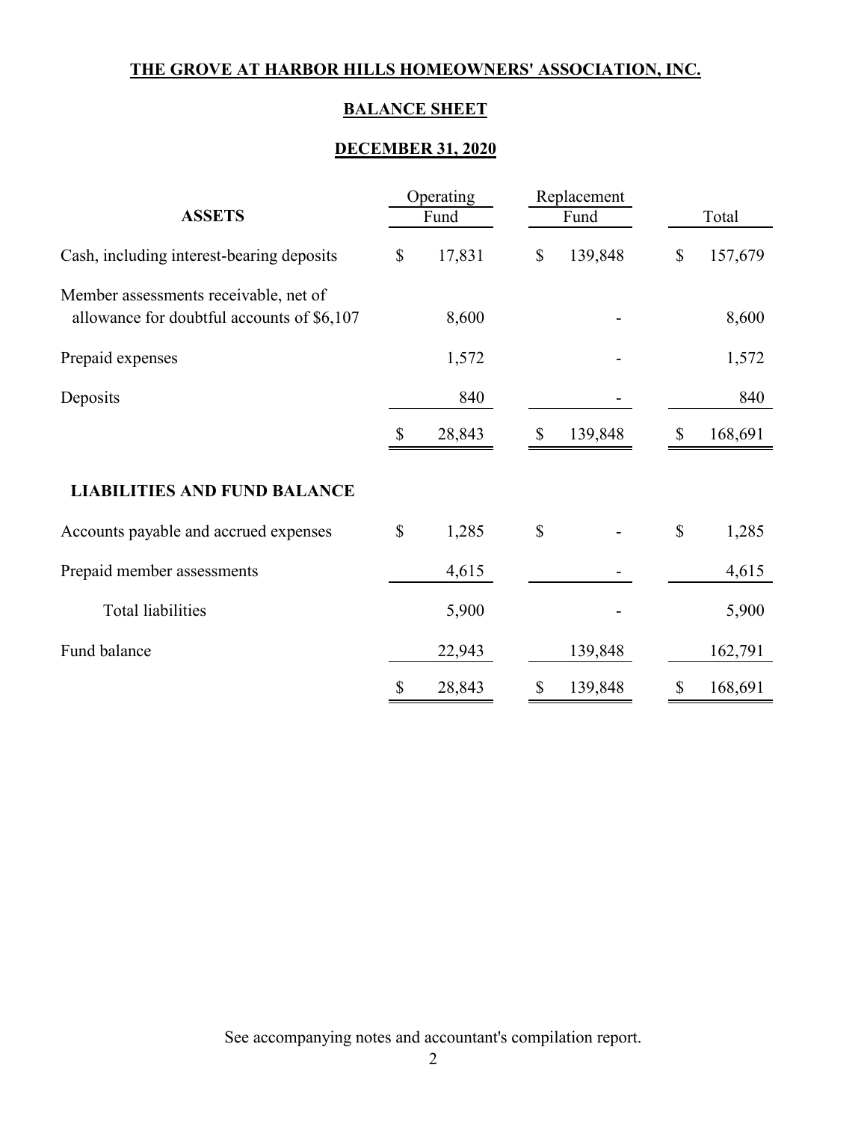# **BALANCE SHEET**

## **DECEMBER 31, 2020**

|                                                                                     | Operating                 |        |                           | Replacement |              |         |  |
|-------------------------------------------------------------------------------------|---------------------------|--------|---------------------------|-------------|--------------|---------|--|
| <b>ASSETS</b>                                                                       |                           | Fund   |                           | Fund        |              | Total   |  |
| Cash, including interest-bearing deposits                                           | $\boldsymbol{\mathsf{S}}$ | 17,831 | $\boldsymbol{\mathsf{S}}$ | 139,848     | $\mathbb{S}$ | 157,679 |  |
| Member assessments receivable, net of<br>allowance for doubtful accounts of \$6,107 |                           | 8,600  |                           |             |              | 8,600   |  |
| Prepaid expenses                                                                    |                           | 1,572  |                           |             |              | 1,572   |  |
| Deposits                                                                            |                           | 840    |                           |             |              | 840     |  |
|                                                                                     | \$                        | 28,843 | \$                        | 139,848     | \$           | 168,691 |  |
| <b>LIABILITIES AND FUND BALANCE</b>                                                 |                           |        |                           |             |              |         |  |
| Accounts payable and accrued expenses                                               | \$                        | 1,285  | $\mathbb{S}$              |             | \$           | 1,285   |  |
| Prepaid member assessments                                                          |                           | 4,615  |                           |             |              | 4,615   |  |
| Total liabilities                                                                   |                           | 5,900  |                           |             |              | 5,900   |  |
| Fund balance                                                                        |                           | 22,943 |                           | 139,848     |              | 162,791 |  |
|                                                                                     | \$                        | 28,843 | \$                        | 139,848     | \$           | 168,691 |  |

See accompanying notes and accountant's compilation report.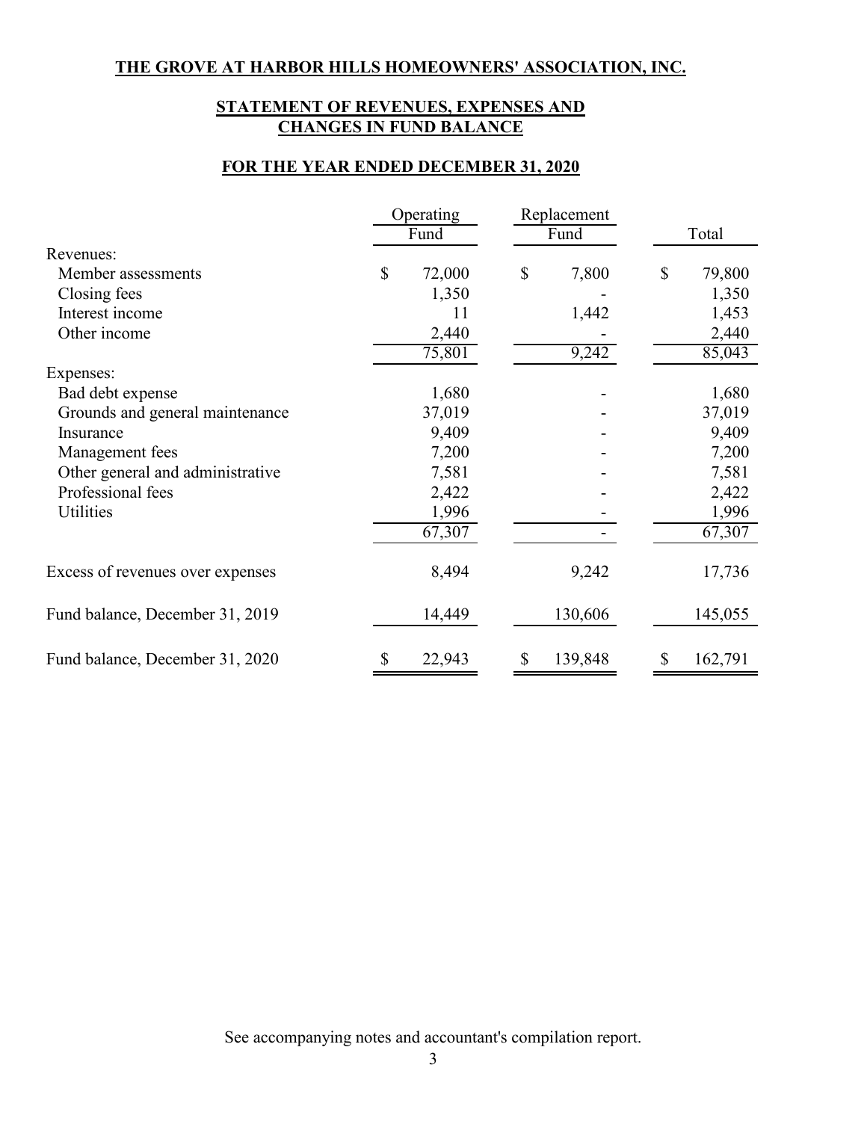## **STATEMENT OF REVENUES, EXPENSES AND CHANGES IN FUND BALANCE**

## **FOR THE YEAR ENDED DECEMBER 31, 2020**

|                                  | Operating |        | Replacement   |    |         |
|----------------------------------|-----------|--------|---------------|----|---------|
|                                  | Fund      |        | Fund          |    | Total   |
| Revenues:                        |           |        |               |    |         |
| Member assessments               | \$        | 72,000 | \$<br>7,800   | S  | 79,800  |
| Closing fees                     |           | 1,350  |               |    | 1,350   |
| Interest income                  |           | 11     | 1,442         |    | 1,453   |
| Other income                     |           | 2,440  |               |    | 2,440   |
|                                  |           | 75,801 | 9,242         |    | 85,043  |
| Expenses:                        |           |        |               |    |         |
| Bad debt expense                 |           | 1,680  |               |    | 1,680   |
| Grounds and general maintenance  |           | 37,019 |               |    | 37,019  |
| Insurance                        |           | 9,409  |               |    | 9,409   |
| Management fees                  |           | 7,200  |               |    | 7,200   |
| Other general and administrative |           | 7,581  |               |    | 7,581   |
| Professional fees                |           | 2,422  |               |    | 2,422   |
| Utilities                        |           | 1,996  |               |    | 1,996   |
|                                  |           | 67,307 |               |    | 67,307  |
| Excess of revenues over expenses |           | 8,494  | 9,242         |    | 17,736  |
| Fund balance, December 31, 2019  |           | 14,449 | 130,606       |    | 145,055 |
| Fund balance, December 31, 2020  | \$        | 22,943 | \$<br>139,848 | \$ | 162,791 |

See accompanying notes and accountant's compilation report.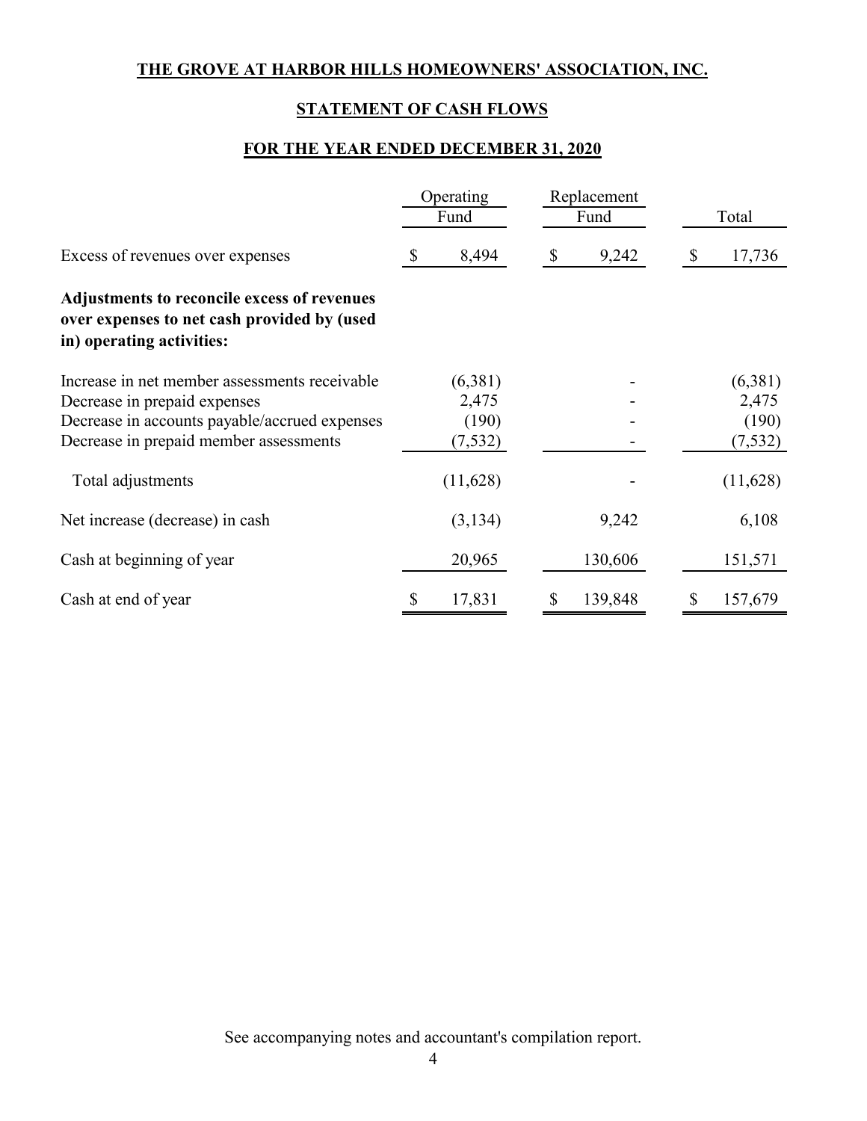# **STATEMENT OF CASH FLOWS**

### **FOR THE YEAR ENDED DECEMBER 31, 2020**

|                                                                                                                                                                          | Operating<br>Fund                     | Replacement<br>Fund                 | Total                                 |  |
|--------------------------------------------------------------------------------------------------------------------------------------------------------------------------|---------------------------------------|-------------------------------------|---------------------------------------|--|
| Excess of revenues over expenses                                                                                                                                         | 8,494<br>\$                           | 9,242<br>$\boldsymbol{\mathcal{S}}$ | 17,736<br>S                           |  |
| Adjustments to reconcile excess of revenues<br>over expenses to net cash provided by (used<br>in) operating activities:                                                  |                                       |                                     |                                       |  |
| Increase in net member assessments receivable<br>Decrease in prepaid expenses<br>Decrease in accounts payable/accrued expenses<br>Decrease in prepaid member assessments | (6,381)<br>2,475<br>(190)<br>(7, 532) |                                     | (6,381)<br>2,475<br>(190)<br>(7, 532) |  |
| Total adjustments                                                                                                                                                        | (11,628)                              |                                     | (11,628)                              |  |
| Net increase (decrease) in cash                                                                                                                                          | (3,134)                               | 9,242                               | 6,108                                 |  |
| Cash at beginning of year                                                                                                                                                | 20,965                                | 130,606                             | 151,571                               |  |
| Cash at end of year                                                                                                                                                      | 17,831<br>\$                          | 139,848<br>\$                       | 157,679<br>\$                         |  |

See accompanying notes and accountant's compilation report.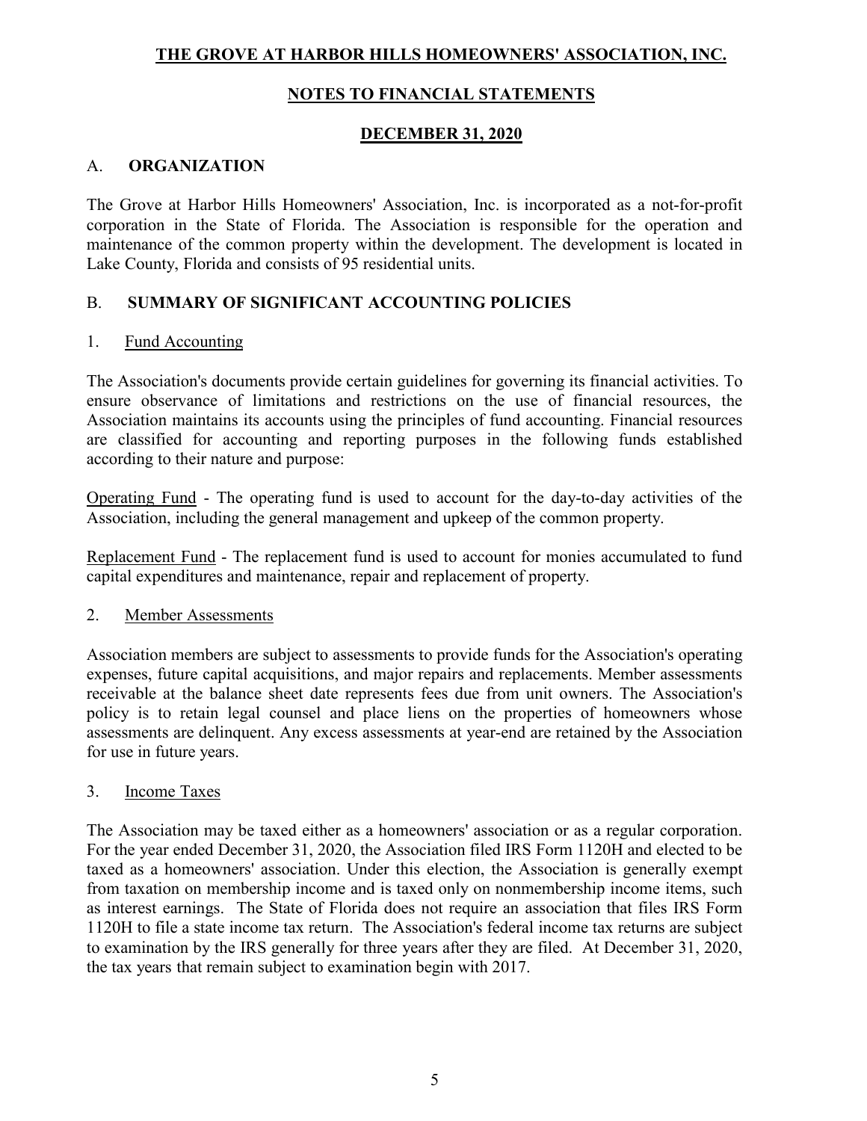## **NOTES TO FINANCIAL STATEMENTS**

### **DECEMBER 31, 2020**

### A. **ORGANIZATION**

The Grove at Harbor Hills Homeowners' Association, Inc. is incorporated as a not-for-profit corporation in the State of Florida. The Association is responsible for the operation and maintenance of the common property within the development. The development is located in Lake County, Florida and consists of 95 residential units.

### B. **SUMMARY OF SIGNIFICANT ACCOUNTING POLICIES**

#### 1. Fund Accounting

The Association's documents provide certain guidelines for governing its financial activities. To ensure observance of limitations and restrictions on the use of financial resources, the Association maintains its accounts using the principles of fund accounting. Financial resources are classified for accounting and reporting purposes in the following funds established according to their nature and purpose:

Operating Fund - The operating fund is used to account for the day-to-day activities of the Association, including the general management and upkeep of the common property.

Replacement Fund - The replacement fund is used to account for monies accumulated to fund capital expenditures and maintenance, repair and replacement of property.

#### 2. Member Assessments

Association members are subject to assessments to provide funds for the Association's operating expenses, future capital acquisitions, and major repairs and replacements. Member assessments receivable at the balance sheet date represents fees due from unit owners. The Association's policy is to retain legal counsel and place liens on the properties of homeowners whose assessments are delinquent. Any excess assessments at year-end are retained by the Association for use in future years.

#### 3. Income Taxes

The Association may be taxed either as a homeowners' association or as a regular corporation. For the year ended December 31, 2020, the Association filed IRS Form 1120H and elected to be taxed as a homeowners' association. Under this election, the Association is generally exempt from taxation on membership income and is taxed only on nonmembership income items, such as interest earnings. The State of Florida does not require an association that files IRS Form 1120H to file a state income tax return. The Association's federal income tax returns are subject to examination by the IRS generally for three years after they are filed. At December 31, 2020, the tax years that remain subject to examination begin with 2017.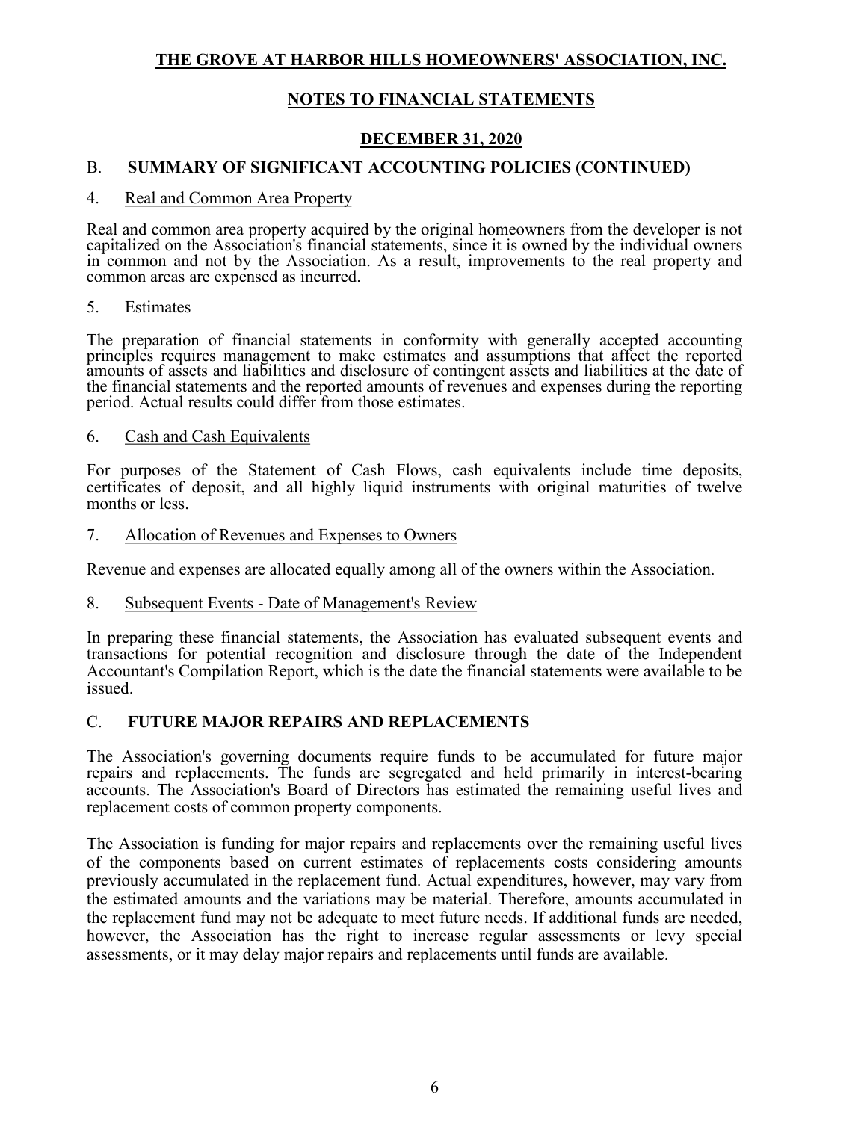### **NOTES TO FINANCIAL STATEMENTS**

### **DECEMBER 31, 2020**

## B. **SUMMARY OF SIGNIFICANT ACCOUNTING POLICIES (CONTINUED)**

#### 4. Real and Common Area Property

Real and common area property acquired by the original homeowners from the developer is not capitalized on the Association's financial statements, since it is owned by the individual owners in common and not by the Association. As a result, improvements to the real property and common areas are expensed as incurred.

#### 5. Estimates

The preparation of financial statements in conformity with generally accepted accounting principles requires management to make estimates and assumptions that affect the reported amounts of assets and liabilities and disclosure of contingent assets and liabilities at the date of the financial statements and the reported amounts of revenues and expenses during the reporting period. Actual results could differ from those estimates.

#### 6. Cash and Cash Equivalents

For purposes of the Statement of Cash Flows, cash equivalents include time deposits, certificates of deposit, and all highly liquid instruments with original maturities of twelve months or less.

#### 7. Allocation of Revenues and Expenses to Owners

Revenue and expenses are allocated equally among all of the owners within the Association.

#### 8. Subsequent Events - Date of Management's Review

In preparing these financial statements, the Association has evaluated subsequent events and transactions for potential recognition and disclosure through the date of the Independent Accountant's Compilation Report, which is the date the financial statements were available to be issued.

#### C. **FUTURE MAJOR REPAIRS AND REPLACEMENTS**

The Association's governing documents require funds to be accumulated for future major repairs and replacements. The funds are segregated and held primarily in interest-bearing accounts. The Association's Board of Directors has estimated the remaining useful lives and replacement costs of common property components.

The Association is funding for major repairs and replacements over the remaining useful lives of the components based on current estimates of replacements costs considering amounts previously accumulated in the replacement fund. Actual expenditures, however, may vary from the estimated amounts and the variations may be material. Therefore, amounts accumulated in the replacement fund may not be adequate to meet future needs. If additional funds are needed, however, the Association has the right to increase regular assessments or levy special assessments, or it may delay major repairs and replacements until funds are available.